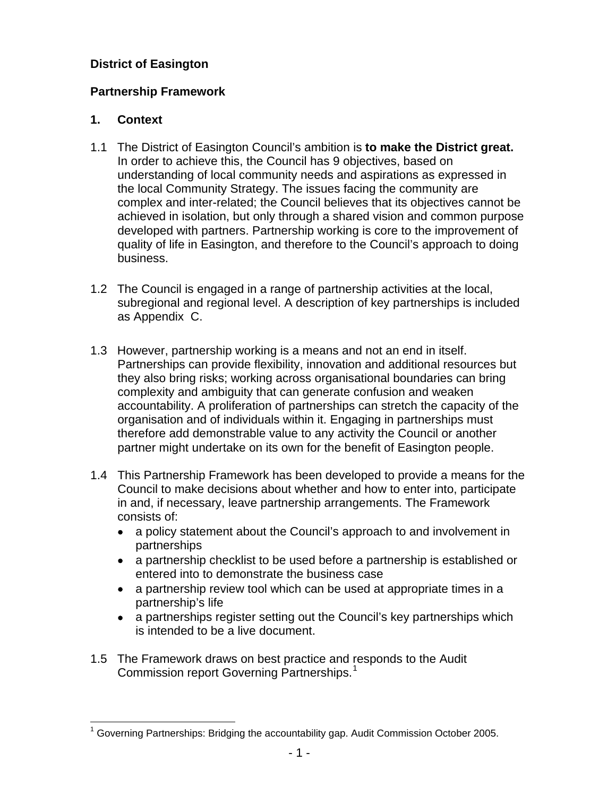#### **District of Easington**

## **Partnership Framework**

## **1. Context**

- 1.1 The District of Easington Council's ambition is **to make the District great.** In order to achieve this, the Council has 9 objectives, based on understanding of local community needs and aspirations as expressed in the local Community Strategy. The issues facing the community are complex and inter-related; the Council believes that its objectives cannot be achieved in isolation, but only through a shared vision and common purpose developed with partners. Partnership working is core to the improvement of quality of life in Easington, and therefore to the Council's approach to doing business.
- 1.2 The Council is engaged in a range of partnership activities at the local, subregional and regional level. A description of key partnerships is included as Appendix C.
- 1.3 However, partnership working is a means and not an end in itself. Partnerships can provide flexibility, innovation and additional resources but they also bring risks; working across organisational boundaries can bring complexity and ambiguity that can generate confusion and weaken accountability. A proliferation of partnerships can stretch the capacity of the organisation and of individuals within it. Engaging in partnerships must therefore add demonstrable value to any activity the Council or another partner might undertake on its own for the benefit of Easington people.
- 1.4 This Partnership Framework has been developed to provide a means for the Council to make decisions about whether and how to enter into, participate in and, if necessary, leave partnership arrangements. The Framework consists of:
	- a policy statement about the Council's approach to and involvement in partnerships
	- a partnership checklist to be used before a partnership is established or entered into to demonstrate the business case
	- a partnership review tool which can be used at appropriate times in a partnership's life
	- a partnerships register setting out the Council's key partnerships which is intended to be a live document.
- 1.5 The Framework draws on best practice and responds to the Audit Commission report Governing Partnerships.<sup>[1](#page-0-0)</sup>

<span id="page-0-0"></span>l  $1$  Governing Partnerships: Bridging the accountability gap. Audit Commission October 2005.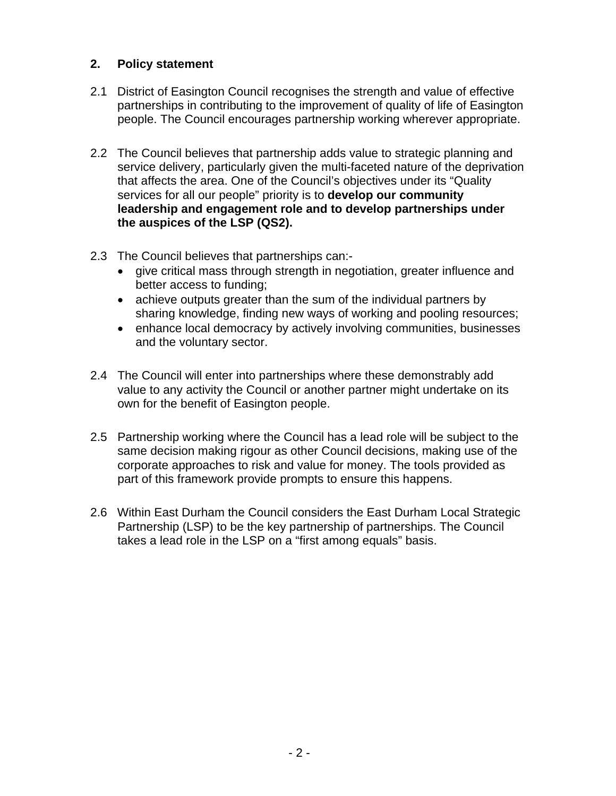#### **2. Policy statement**

- 2.1 District of Easington Council recognises the strength and value of effective partnerships in contributing to the improvement of quality of life of Easington people. The Council encourages partnership working wherever appropriate.
- 2.2 The Council believes that partnership adds value to strategic planning and service delivery, particularly given the multi-faceted nature of the deprivation that affects the area. One of the Council's objectives under its "Quality services for all our people" priority is to **develop our community leadership and engagement role and to develop partnerships under the auspices of the LSP (QS2).**
- 2.3 The Council believes that partnerships can:-
	- give critical mass through strength in negotiation, greater influence and better access to funding;
	- achieve outputs greater than the sum of the individual partners by sharing knowledge, finding new ways of working and pooling resources;
	- enhance local democracy by actively involving communities, businesses and the voluntary sector.
- 2.4 The Council will enter into partnerships where these demonstrably add value to any activity the Council or another partner might undertake on its own for the benefit of Easington people.
- 2.5 Partnership working where the Council has a lead role will be subject to the same decision making rigour as other Council decisions, making use of the corporate approaches to risk and value for money. The tools provided as part of this framework provide prompts to ensure this happens.
- 2.6 Within East Durham the Council considers the East Durham Local Strategic Partnership (LSP) to be the key partnership of partnerships. The Council takes a lead role in the LSP on a "first among equals" basis.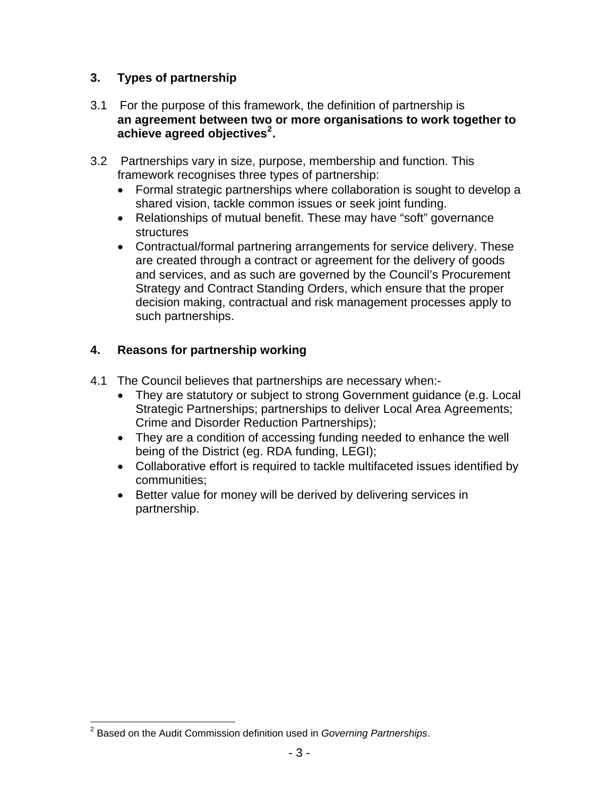## <span id="page-2-0"></span>**3. Types of partnership**

- 3.1 For the purpose of this framework, the definition of partnership is **an agreement between two or more organisations to work together to achieve agreed objectives[2](#page-2-0) .**
- 3.2 Partnerships vary in size, purpose, membership and function. This framework recognises three types of partnership:
	- Formal strategic partnerships where collaboration is sought to develop a shared vision, tackle common issues or seek joint funding.
	- Relationships of mutual benefit. These may have "soft" governance structures
	- Contractual/formal partnering arrangements for service delivery. These are created through a contract or agreement for the delivery of goods and services, and as such are governed by the Council's Procurement Strategy and Contract Standing Orders, which ensure that the proper decision making, contractual and risk management processes apply to such partnerships.

## **4. Reasons for partnership working**

- 4.1The Council believes that partnerships are necessary when:-
	- They are statutory or subject to strong Government guidance (e.g. Local Strategic Partnerships; partnerships to deliver Local Area Agreements; Crime and Disorder Reduction Partnerships);
	- They are a condition of accessing funding needed to enhance the well being of the District (eg. RDA funding, LEGI);
	- Collaborative effort is required to tackle multifaceted issues identified by communities;
	- Better value for money will be derived by delivering services in partnership.

l 2 Based on the Audit Commission definition used in *Governing Partnerships*.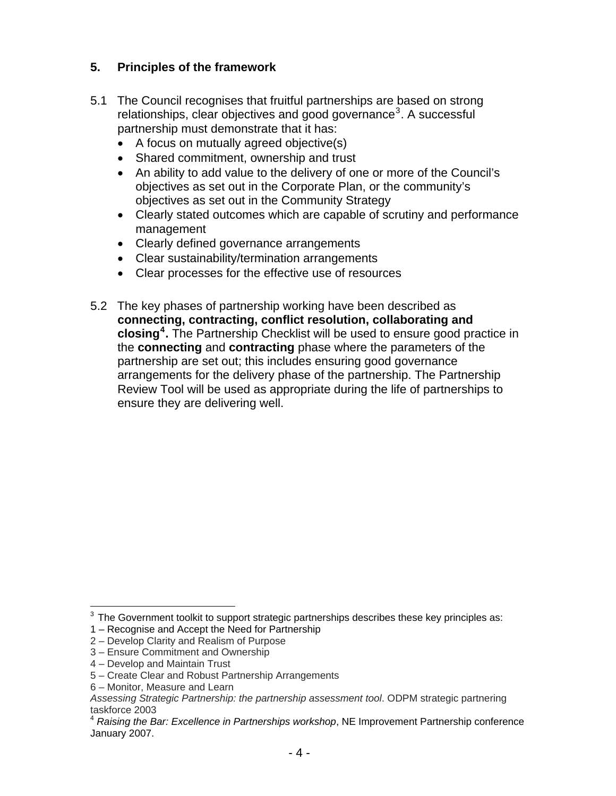## <span id="page-3-0"></span>**5. Principles of the framework**

- 5.1 The Council recognises that fruitful partnerships are based on strong relationships, clear objectives and good governance<sup>[3](#page-3-0)</sup>. A successful partnership must demonstrate that it has:
	- A focus on mutually agreed objective(s)
	- Shared commitment, ownership and trust
	- An ability to add value to the delivery of one or more of the Council's objectives as set out in the Corporate Plan, or the community's objectives as set out in the Community Strategy
	- Clearly stated outcomes which are capable of scrutiny and performance management
	- Clearly defined governance arrangements
	- Clear sustainability/termination arrangements
	- Clear processes for the effective use of resources
- 5.2 The key phases of partnership working have been described as **connecting, contracting, conflict resolution, collaborating and closing[4](#page-3-0) .** The Partnership Checklist will be used to ensure good practice in the **connecting** and **contracting** phase where the parameters of the partnership are set out; this includes ensuring good governance arrangements for the delivery phase of the partnership. The Partnership Review Tool will be used as appropriate during the life of partnerships to ensure they are delivering well.

l  $3$  The Government toolkit to support strategic partnerships describes these key principles as:

<sup>1 –</sup> Recognise and Accept the Need for Partnership

<sup>2 –</sup> Develop Clarity and Realism of Purpose

<sup>3 –</sup> Ensure Commitment and Ownership

<sup>4 –</sup> Develop and Maintain Trust

<sup>5 –</sup> Create Clear and Robust Partnership Arrangements

<sup>6 –</sup> Monitor, Measure and Learn

*Assessing Strategic Partnership: the partnership assessment tool*. ODPM strategic partnering taskforce 2003<br><sup>4</sup> *Raising the Bar: Excellence in Partnerships workshop*, NE Improvement Partnership conference

January 2007.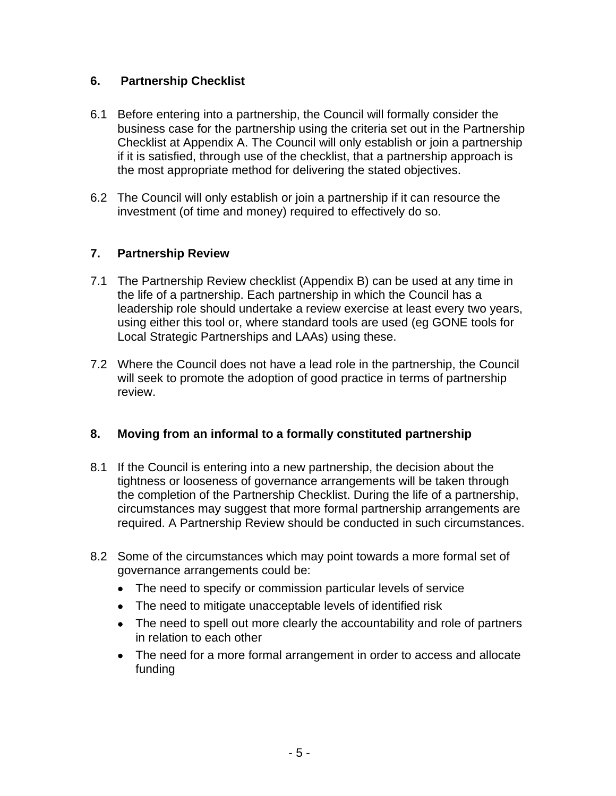#### **6. Partnership Checklist**

- 6.1 Before entering into a partnership, the Council will formally consider the business case for the partnership using the criteria set out in the Partnership Checklist at Appendix A. The Council will only establish or join a partnership if it is satisfied, through use of the checklist, that a partnership approach is the most appropriate method for delivering the stated objectives.
- 6.2 The Council will only establish or join a partnership if it can resource the investment (of time and money) required to effectively do so.

## **7. Partnership Review**

- 7.1 The Partnership Review checklist (Appendix B) can be used at any time in the life of a partnership. Each partnership in which the Council has a leadership role should undertake a review exercise at least every two years, using either this tool or, where standard tools are used (eg GONE tools for Local Strategic Partnerships and LAAs) using these.
- 7.2 Where the Council does not have a lead role in the partnership, the Council will seek to promote the adoption of good practice in terms of partnership review.

#### **8. Moving from an informal to a formally constituted partnership**

- 8.1 If the Council is entering into a new partnership, the decision about the tightness or looseness of governance arrangements will be taken through the completion of the Partnership Checklist. During the life of a partnership, circumstances may suggest that more formal partnership arrangements are required. A Partnership Review should be conducted in such circumstances.
- 8.2 Some of the circumstances which may point towards a more formal set of governance arrangements could be:
	- The need to specify or commission particular levels of service
	- The need to mitigate unacceptable levels of identified risk
	- The need to spell out more clearly the accountability and role of partners in relation to each other
	- The need for a more formal arrangement in order to access and allocate funding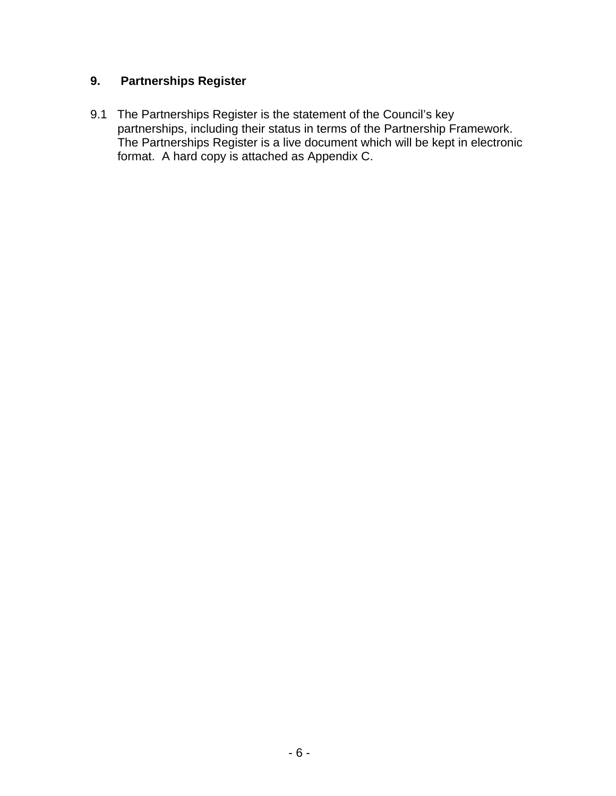## **9. Partnerships Register**

9.1The Partnerships Register is the statement of the Council's key partnerships, including their status in terms of the Partnership Framework. The Partnerships Register is a live document which will be kept in electronic format. A hard copy is attached as Appendix C.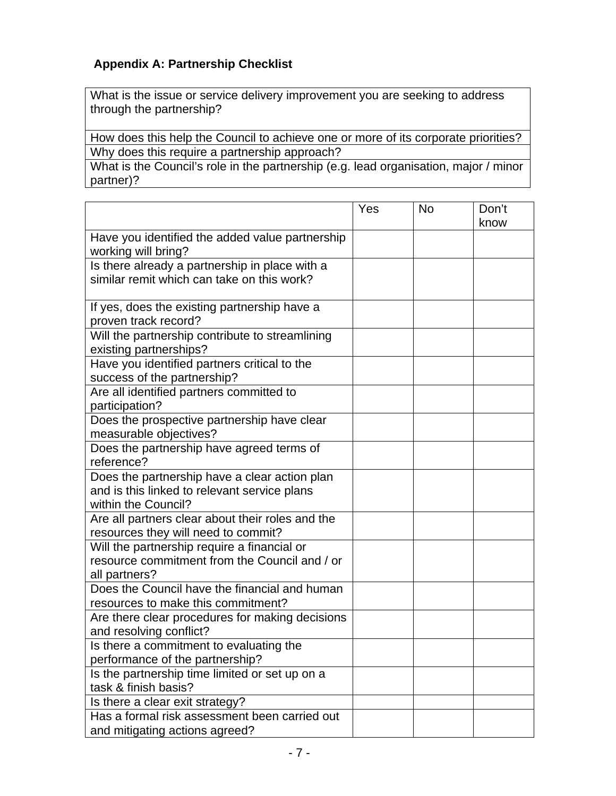## **Appendix A: Partnership Checklist**

What is the issue or service delivery improvement you are seeking to address through the partnership?

How does this help the Council to achieve one or more of its corporate priorities? Why does this require a partnership approach?

What is the Council's role in the partnership (e.g. lead organisation, major / minor partner)?

|                                                                                                                      | Yes | No | Don't<br>know |
|----------------------------------------------------------------------------------------------------------------------|-----|----|---------------|
| Have you identified the added value partnership<br>working will bring?                                               |     |    |               |
| Is there already a partnership in place with a<br>similar remit which can take on this work?                         |     |    |               |
| If yes, does the existing partnership have a<br>proven track record?                                                 |     |    |               |
| Will the partnership contribute to streamlining<br>existing partnerships?                                            |     |    |               |
| Have you identified partners critical to the<br>success of the partnership?                                          |     |    |               |
| Are all identified partners committed to<br>participation?                                                           |     |    |               |
| Does the prospective partnership have clear<br>measurable objectives?                                                |     |    |               |
| Does the partnership have agreed terms of<br>reference?                                                              |     |    |               |
| Does the partnership have a clear action plan<br>and is this linked to relevant service plans<br>within the Council? |     |    |               |
| Are all partners clear about their roles and the<br>resources they will need to commit?                              |     |    |               |
| Will the partnership require a financial or<br>resource commitment from the Council and / or<br>all partners?        |     |    |               |
| Does the Council have the financial and human<br>resources to make this commitment?                                  |     |    |               |
| Are there clear procedures for making decisions<br>and resolving conflict?                                           |     |    |               |
| Is there a commitment to evaluating the<br>performance of the partnership?                                           |     |    |               |
| Is the partnership time limited or set up on a<br>task & finish basis?                                               |     |    |               |
| Is there a clear exit strategy?                                                                                      |     |    |               |
| Has a formal risk assessment been carried out<br>and mitigating actions agreed?                                      |     |    |               |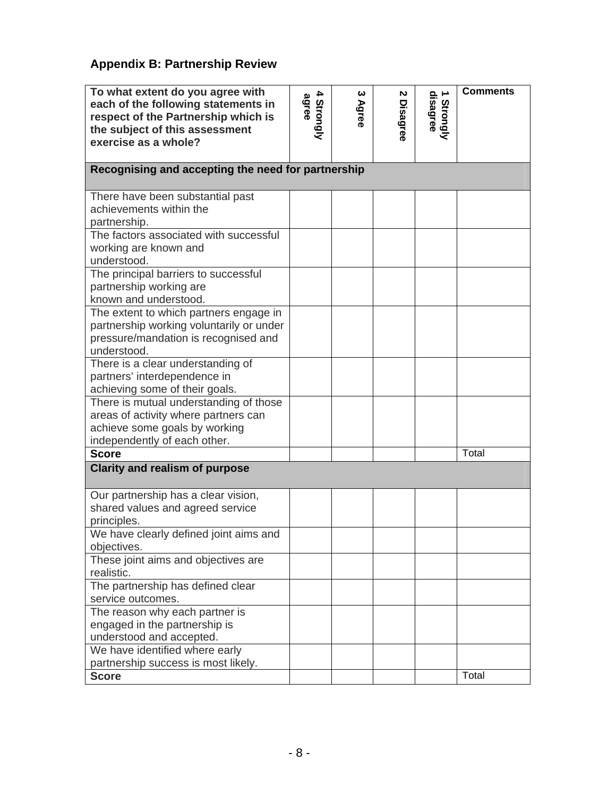## **Appendix B: Partnership Review**

| To what extent do you agree with<br>each of the following statements in<br>respect of the Partnership which is<br>the subject of this assessment<br>exercise as a whole? | 4<br>4 Strongly<br>agree | ယ<br>Agree | N<br>Disagree | 1 Strongly<br>disagree | <b>Comments</b> |  |  |  |  |  |
|--------------------------------------------------------------------------------------------------------------------------------------------------------------------------|--------------------------|------------|---------------|------------------------|-----------------|--|--|--|--|--|
| Recognising and accepting the need for partnership                                                                                                                       |                          |            |               |                        |                 |  |  |  |  |  |
| There have been substantial past<br>achievements within the<br>partnership.                                                                                              |                          |            |               |                        |                 |  |  |  |  |  |
| The factors associated with successful<br>working are known and<br>understood.                                                                                           |                          |            |               |                        |                 |  |  |  |  |  |
| The principal barriers to successful<br>partnership working are<br>known and understood.                                                                                 |                          |            |               |                        |                 |  |  |  |  |  |
| The extent to which partners engage in<br>partnership working voluntarily or under<br>pressure/mandation is recognised and<br>understood.                                |                          |            |               |                        |                 |  |  |  |  |  |
| There is a clear understanding of<br>partners' interdependence in<br>achieving some of their goals.                                                                      |                          |            |               |                        |                 |  |  |  |  |  |
| There is mutual understanding of those<br>areas of activity where partners can<br>achieve some goals by working<br>independently of each other.                          |                          |            |               |                        |                 |  |  |  |  |  |
| <b>Score</b>                                                                                                                                                             |                          |            |               |                        | Total           |  |  |  |  |  |
| <b>Clarity and realism of purpose</b>                                                                                                                                    |                          |            |               |                        |                 |  |  |  |  |  |
| Our partnership has a clear vision,<br>shared values and agreed service<br>principles.                                                                                   |                          |            |               |                        |                 |  |  |  |  |  |
| We have clearly defined joint aims and<br>objectives.                                                                                                                    |                          |            |               |                        |                 |  |  |  |  |  |
| These joint aims and objectives are<br>realistic.                                                                                                                        |                          |            |               |                        |                 |  |  |  |  |  |
| The partnership has defined clear<br>service outcomes.                                                                                                                   |                          |            |               |                        |                 |  |  |  |  |  |
| The reason why each partner is<br>engaged in the partnership is<br>understood and accepted.                                                                              |                          |            |               |                        |                 |  |  |  |  |  |
| We have identified where early<br>partnership success is most likely.                                                                                                    |                          |            |               |                        |                 |  |  |  |  |  |
| <b>Score</b>                                                                                                                                                             |                          |            |               |                        | Total           |  |  |  |  |  |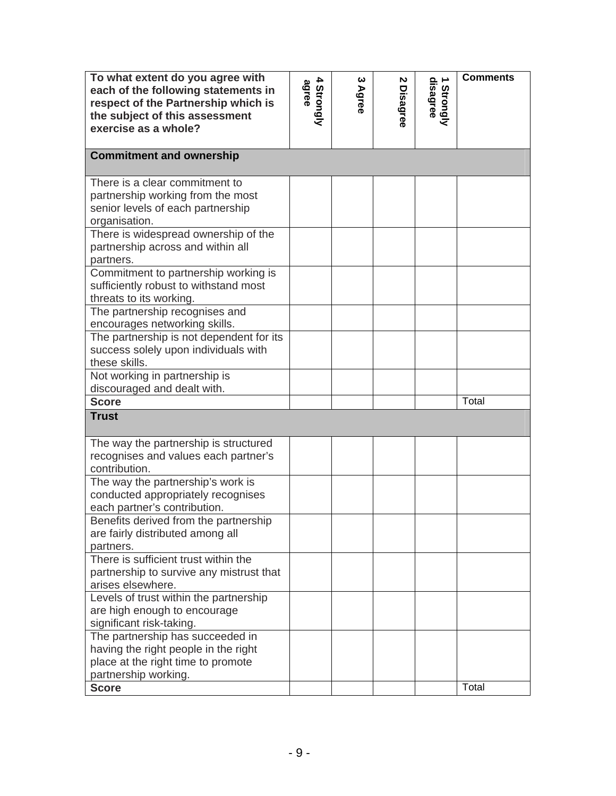| To what extent do you agree with<br>each of the following statements in<br>respect of the Partnership which is<br>the subject of this assessment<br>exercise as a whole? | 4<br>4 Strongly<br>agree | ယ<br>Agree | N<br>Disagree | 1 Strongly<br>disagree | <b>Comments</b> |
|--------------------------------------------------------------------------------------------------------------------------------------------------------------------------|--------------------------|------------|---------------|------------------------|-----------------|
| <b>Commitment and ownership</b>                                                                                                                                          |                          |            |               |                        |                 |
| There is a clear commitment to<br>partnership working from the most<br>senior levels of each partnership<br>organisation.                                                |                          |            |               |                        |                 |
| There is widespread ownership of the<br>partnership across and within all<br>partners.                                                                                   |                          |            |               |                        |                 |
| Commitment to partnership working is<br>sufficiently robust to withstand most<br>threats to its working.                                                                 |                          |            |               |                        |                 |
| The partnership recognises and<br>encourages networking skills.                                                                                                          |                          |            |               |                        |                 |
| The partnership is not dependent for its<br>success solely upon individuals with<br>these skills.                                                                        |                          |            |               |                        |                 |
| Not working in partnership is<br>discouraged and dealt with.                                                                                                             |                          |            |               |                        |                 |
| <b>Score</b>                                                                                                                                                             |                          |            |               |                        | Total           |
| <b>Trust</b>                                                                                                                                                             |                          |            |               |                        |                 |
| The way the partnership is structured<br>recognises and values each partner's<br>contribution.                                                                           |                          |            |               |                        |                 |
| The way the partnership's work is<br>conducted appropriately recognises<br>each partner's contribution.                                                                  |                          |            |               |                        |                 |
| Benefits derived from the partnership<br>are fairly distributed among all<br>partners.                                                                                   |                          |            |               |                        |                 |
| There is sufficient trust within the<br>partnership to survive any mistrust that<br>arises elsewhere.                                                                    |                          |            |               |                        |                 |
| Levels of trust within the partnership<br>are high enough to encourage<br>significant risk-taking.                                                                       |                          |            |               |                        |                 |
| The partnership has succeeded in<br>having the right people in the right<br>place at the right time to promote<br>partnership working.                                   |                          |            |               |                        |                 |
| <b>Score</b>                                                                                                                                                             |                          |            |               |                        | Total           |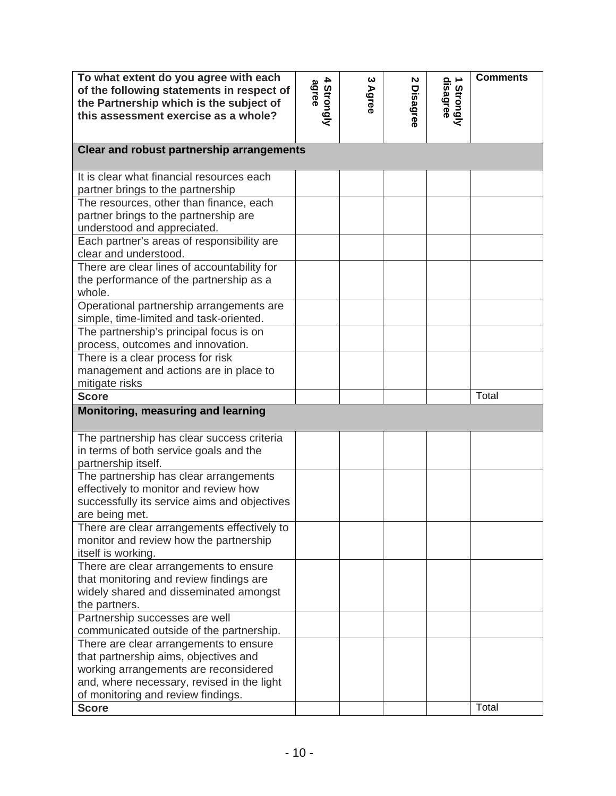| To what extent do you agree with each<br>of the following statements in respect of<br>the Partnership which is the subject of<br>this assessment exercise as a whole? | 4<br>agree<br>Strongly | ယ<br>Agree | N<br><b>Disagree</b> | disagree<br>Strongly | <b>Comments</b> |  |  |  |  |
|-----------------------------------------------------------------------------------------------------------------------------------------------------------------------|------------------------|------------|----------------------|----------------------|-----------------|--|--|--|--|
| <b>Clear and robust partnership arrangements</b>                                                                                                                      |                        |            |                      |                      |                 |  |  |  |  |
| It is clear what financial resources each                                                                                                                             |                        |            |                      |                      |                 |  |  |  |  |
| partner brings to the partnership                                                                                                                                     |                        |            |                      |                      |                 |  |  |  |  |
| The resources, other than finance, each                                                                                                                               |                        |            |                      |                      |                 |  |  |  |  |
| partner brings to the partnership are                                                                                                                                 |                        |            |                      |                      |                 |  |  |  |  |
| understood and appreciated.                                                                                                                                           |                        |            |                      |                      |                 |  |  |  |  |
| Each partner's areas of responsibility are<br>clear and understood.                                                                                                   |                        |            |                      |                      |                 |  |  |  |  |
| There are clear lines of accountability for                                                                                                                           |                        |            |                      |                      |                 |  |  |  |  |
| the performance of the partnership as a                                                                                                                               |                        |            |                      |                      |                 |  |  |  |  |
| whole.                                                                                                                                                                |                        |            |                      |                      |                 |  |  |  |  |
| Operational partnership arrangements are                                                                                                                              |                        |            |                      |                      |                 |  |  |  |  |
| simple, time-limited and task-oriented.                                                                                                                               |                        |            |                      |                      |                 |  |  |  |  |
| The partnership's principal focus is on                                                                                                                               |                        |            |                      |                      |                 |  |  |  |  |
| process, outcomes and innovation.                                                                                                                                     |                        |            |                      |                      |                 |  |  |  |  |
| There is a clear process for risk                                                                                                                                     |                        |            |                      |                      |                 |  |  |  |  |
| management and actions are in place to                                                                                                                                |                        |            |                      |                      |                 |  |  |  |  |
| mitigate risks                                                                                                                                                        |                        |            |                      |                      |                 |  |  |  |  |
| <b>Score</b>                                                                                                                                                          |                        |            |                      |                      | Total           |  |  |  |  |
| Monitoring, measuring and learning                                                                                                                                    |                        |            |                      |                      |                 |  |  |  |  |
| The partnership has clear success criteria                                                                                                                            |                        |            |                      |                      |                 |  |  |  |  |
| in terms of both service goals and the                                                                                                                                |                        |            |                      |                      |                 |  |  |  |  |
| partnership itself.                                                                                                                                                   |                        |            |                      |                      |                 |  |  |  |  |
| The partnership has clear arrangements                                                                                                                                |                        |            |                      |                      |                 |  |  |  |  |
| effectively to monitor and review how                                                                                                                                 |                        |            |                      |                      |                 |  |  |  |  |
| successfully its service aims and objectives                                                                                                                          |                        |            |                      |                      |                 |  |  |  |  |
| are being met.                                                                                                                                                        |                        |            |                      |                      |                 |  |  |  |  |
| There are clear arrangements effectively to<br>monitor and review how the partnership                                                                                 |                        |            |                      |                      |                 |  |  |  |  |
| itself is working.                                                                                                                                                    |                        |            |                      |                      |                 |  |  |  |  |
| There are clear arrangements to ensure                                                                                                                                |                        |            |                      |                      |                 |  |  |  |  |
| that monitoring and review findings are                                                                                                                               |                        |            |                      |                      |                 |  |  |  |  |
| widely shared and disseminated amongst                                                                                                                                |                        |            |                      |                      |                 |  |  |  |  |
| the partners.                                                                                                                                                         |                        |            |                      |                      |                 |  |  |  |  |
| Partnership successes are well                                                                                                                                        |                        |            |                      |                      |                 |  |  |  |  |
| communicated outside of the partnership.                                                                                                                              |                        |            |                      |                      |                 |  |  |  |  |
| There are clear arrangements to ensure                                                                                                                                |                        |            |                      |                      |                 |  |  |  |  |
| that partnership aims, objectives and                                                                                                                                 |                        |            |                      |                      |                 |  |  |  |  |
| working arrangements are reconsidered                                                                                                                                 |                        |            |                      |                      |                 |  |  |  |  |
| and, where necessary, revised in the light                                                                                                                            |                        |            |                      |                      |                 |  |  |  |  |
| of monitoring and review findings.                                                                                                                                    |                        |            |                      |                      | Total           |  |  |  |  |
| <b>Score</b>                                                                                                                                                          |                        |            |                      |                      |                 |  |  |  |  |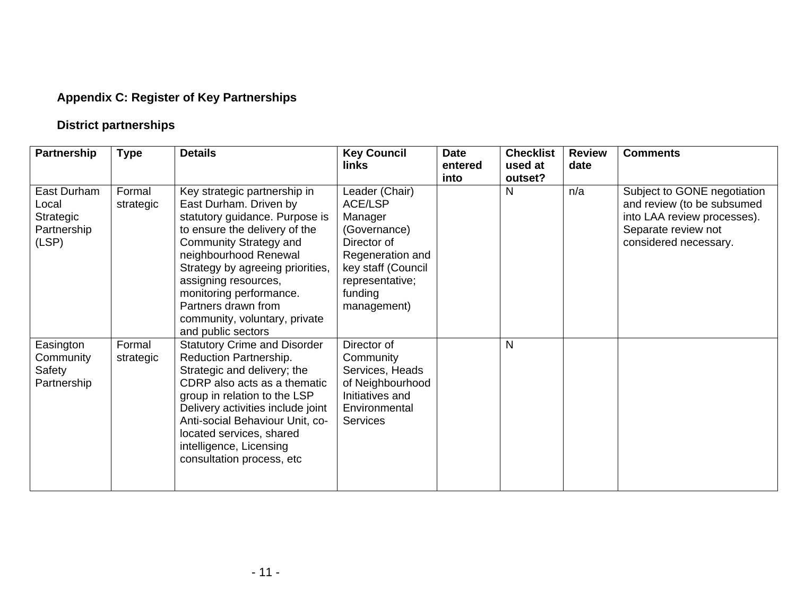# **Appendix C: Register of Key Partnerships**

# **District partnerships**

| Partnership                                               | <b>Type</b>         | <b>Details</b>                                                                                                                                                                                                                                                                                                                                    | <b>Key Council</b><br>links                                                                                                                                       | <b>Date</b><br>entered<br>into | <b>Checklist</b><br>used at<br>outset? | <b>Review</b><br>date | <b>Comments</b>                                                                                                                          |
|-----------------------------------------------------------|---------------------|---------------------------------------------------------------------------------------------------------------------------------------------------------------------------------------------------------------------------------------------------------------------------------------------------------------------------------------------------|-------------------------------------------------------------------------------------------------------------------------------------------------------------------|--------------------------------|----------------------------------------|-----------------------|------------------------------------------------------------------------------------------------------------------------------------------|
| East Durham<br>Local<br>Strategic<br>Partnership<br>(LSP) | Formal<br>strategic | Key strategic partnership in<br>East Durham. Driven by<br>statutory guidance. Purpose is<br>to ensure the delivery of the<br>Community Strategy and<br>neighbourhood Renewal<br>Strategy by agreeing priorities,<br>assigning resources,<br>monitoring performance.<br>Partners drawn from<br>community, voluntary, private<br>and public sectors | Leader (Chair)<br><b>ACE/LSP</b><br>Manager<br>(Governance)<br>Director of<br>Regeneration and<br>key staff (Council<br>representative;<br>funding<br>management) |                                | N                                      | n/a                   | Subject to GONE negotiation<br>and review (to be subsumed<br>into LAA review processes).<br>Separate review not<br>considered necessary. |
| Easington<br>Community<br>Safety<br>Partnership           | Formal<br>strategic | <b>Statutory Crime and Disorder</b><br>Reduction Partnership.<br>Strategic and delivery; the<br>CDRP also acts as a thematic<br>group in relation to the LSP<br>Delivery activities include joint<br>Anti-social Behaviour Unit, co-<br>located services, shared<br>intelligence, Licensing<br>consultation process, etc                          | Director of<br>Community<br>Services, Heads<br>of Neighbourhood<br>Initiatives and<br>Environmental<br><b>Services</b>                                            |                                | N                                      |                       |                                                                                                                                          |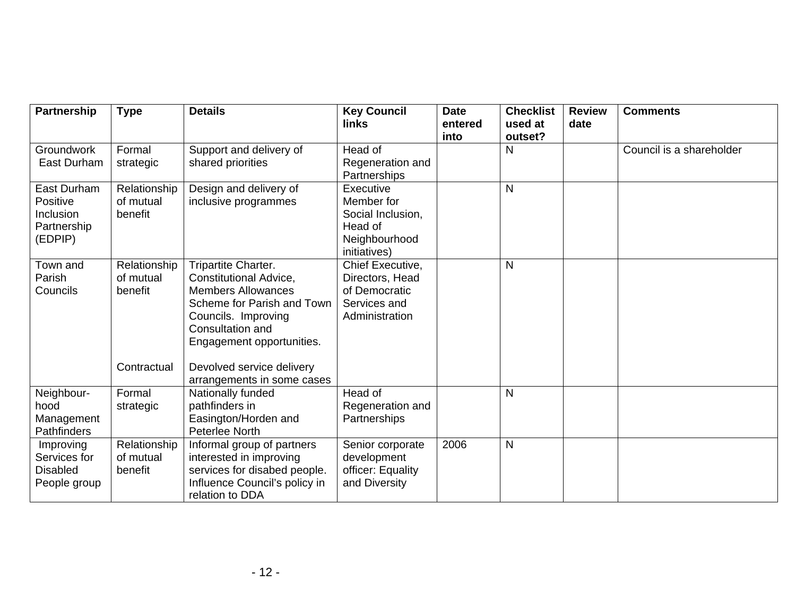| Partnership                                                    | <b>Type</b>                                         | <b>Details</b>                                                                                                                                                                                                       | <b>Key Council</b><br>links                                                              | <b>Date</b><br>entered<br>into | <b>Checklist</b><br>used at<br>outset? | <b>Review</b><br>date | <b>Comments</b>          |
|----------------------------------------------------------------|-----------------------------------------------------|----------------------------------------------------------------------------------------------------------------------------------------------------------------------------------------------------------------------|------------------------------------------------------------------------------------------|--------------------------------|----------------------------------------|-----------------------|--------------------------|
| Groundwork<br>East Durham                                      | Formal<br>strategic                                 | Support and delivery of<br>shared priorities                                                                                                                                                                         | Head of<br>Regeneration and<br>Partnerships                                              |                                | $\mathsf{N}$                           |                       | Council is a shareholder |
| East Durham<br>Positive<br>Inclusion<br>Partnership<br>(EDPIP) | Relationship<br>of mutual<br>benefit                | Design and delivery of<br>inclusive programmes                                                                                                                                                                       | Executive<br>Member for<br>Social Inclusion,<br>Head of<br>Neighbourhood<br>initiatives) |                                | $\mathsf{N}$                           |                       |                          |
| Town and<br>Parish<br>Councils                                 | Relationship<br>of mutual<br>benefit<br>Contractual | Tripartite Charter.<br><b>Constitutional Advice,</b><br><b>Members Allowances</b><br>Scheme for Parish and Town<br>Councils. Improving<br>Consultation and<br>Engagement opportunities.<br>Devolved service delivery | Chief Executive,<br>Directors, Head<br>of Democratic<br>Services and<br>Administration   |                                | N                                      |                       |                          |
| Neighbour-<br>hood<br>Management<br>Pathfinders                | Formal<br>strategic                                 | arrangements in some cases<br>Nationally funded<br>pathfinders in<br>Easington/Horden and<br>Peterlee North                                                                                                          | Head of<br>Regeneration and<br>Partnerships                                              |                                | N                                      |                       |                          |
| Improving<br>Services for<br><b>Disabled</b><br>People group   | Relationship<br>of mutual<br>benefit                | Informal group of partners<br>interested in improving<br>services for disabed people.<br>Influence Council's policy in<br>relation to DDA                                                                            | Senior corporate<br>development<br>officer: Equality<br>and Diversity                    | 2006                           | $\mathsf{N}$                           |                       |                          |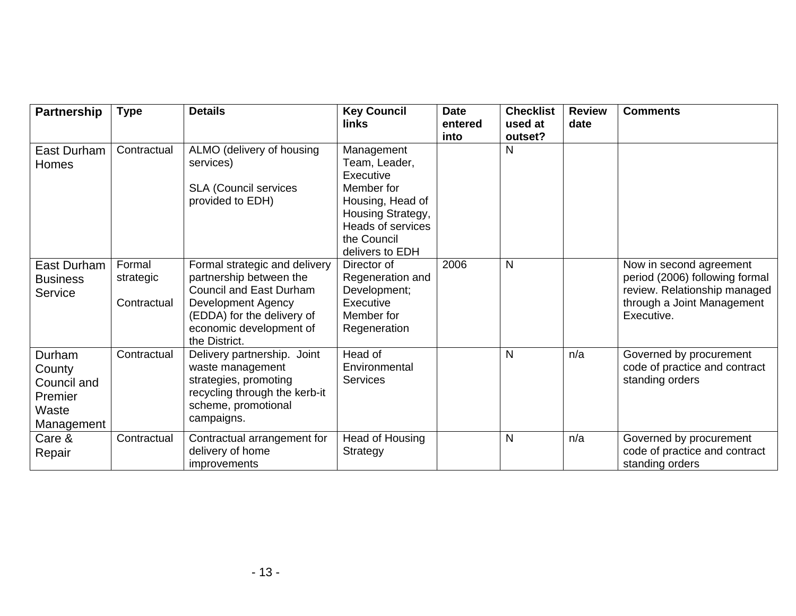| Partnership                                                       | <b>Type</b>                        | <b>Details</b>                                                                                                                                                                                    | <b>Key Council</b><br>links                                                                                                                            | <b>Date</b><br>entered<br>into | <b>Checklist</b><br>used at<br>outset? | <b>Review</b><br>date | <b>Comments</b>                                                                                                                       |
|-------------------------------------------------------------------|------------------------------------|---------------------------------------------------------------------------------------------------------------------------------------------------------------------------------------------------|--------------------------------------------------------------------------------------------------------------------------------------------------------|--------------------------------|----------------------------------------|-----------------------|---------------------------------------------------------------------------------------------------------------------------------------|
| East Durham<br>Homes                                              | Contractual                        | ALMO (delivery of housing<br>services)<br><b>SLA (Council services</b><br>provided to EDH)                                                                                                        | Management<br>Team, Leader,<br>Executive<br>Member for<br>Housing, Head of<br>Housing Strategy,<br>Heads of services<br>the Council<br>delivers to EDH |                                | N                                      |                       |                                                                                                                                       |
| East Durham<br><b>Business</b><br>Service                         | Formal<br>strategic<br>Contractual | Formal strategic and delivery<br>partnership between the<br><b>Council and East Durham</b><br><b>Development Agency</b><br>(EDDA) for the delivery of<br>economic development of<br>the District. | Director of<br>Regeneration and<br>Development;<br>Executive<br>Member for<br>Regeneration                                                             | 2006                           | $\mathsf{N}$                           |                       | Now in second agreement<br>period (2006) following formal<br>review. Relationship managed<br>through a Joint Management<br>Executive. |
| Durham<br>County<br>Council and<br>Premier<br>Waste<br>Management | Contractual                        | Delivery partnership. Joint<br>waste management<br>strategies, promoting<br>recycling through the kerb-it<br>scheme, promotional<br>campaigns.                                                    | Head of<br>Environmental<br><b>Services</b>                                                                                                            |                                | $\mathsf{N}$                           | n/a                   | Governed by procurement<br>code of practice and contract<br>standing orders                                                           |
| Care &<br>Repair                                                  | Contractual                        | Contractual arrangement for<br>delivery of home<br>improvements                                                                                                                                   | <b>Head of Housing</b><br>Strategy                                                                                                                     |                                | $\mathsf{N}$                           | n/a                   | Governed by procurement<br>code of practice and contract<br>standing orders                                                           |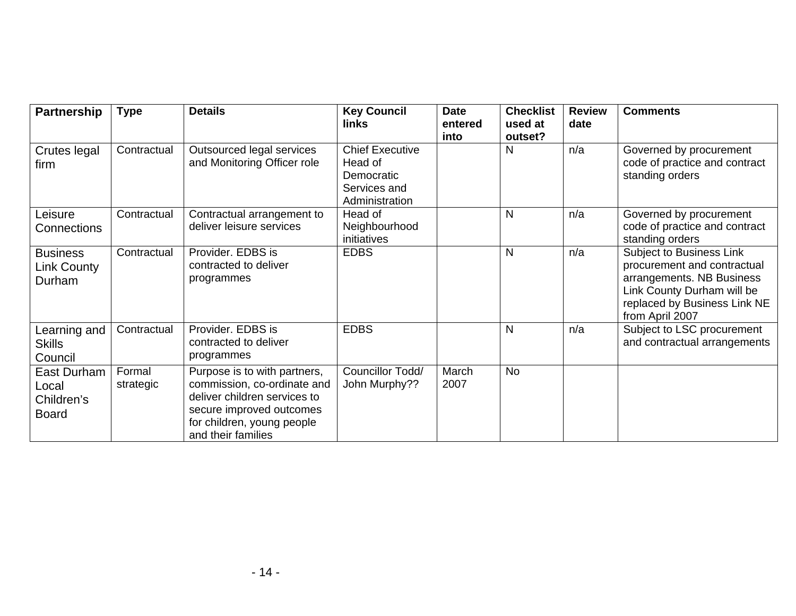| Partnership                                        | <b>Type</b>         | <b>Details</b>                                                                                                                                                              | <b>Key Council</b><br>links                                                       | <b>Date</b><br>entered<br>into | <b>Checklist</b><br>used at<br>outset? | <b>Review</b><br>date | <b>Comments</b>                                                                                                                                                       |
|----------------------------------------------------|---------------------|-----------------------------------------------------------------------------------------------------------------------------------------------------------------------------|-----------------------------------------------------------------------------------|--------------------------------|----------------------------------------|-----------------------|-----------------------------------------------------------------------------------------------------------------------------------------------------------------------|
| Crutes legal<br>firm                               | Contractual         | Outsourced legal services<br>and Monitoring Officer role                                                                                                                    | <b>Chief Executive</b><br>Head of<br>Democratic<br>Services and<br>Administration |                                | N                                      | n/a                   | Governed by procurement<br>code of practice and contract<br>standing orders                                                                                           |
| Leisure<br>Connections                             | Contractual         | Contractual arrangement to<br>deliver leisure services                                                                                                                      | Head of<br>Neighbourhood<br>initiatives                                           |                                | N                                      | n/a                   | Governed by procurement<br>code of practice and contract<br>standing orders                                                                                           |
| <b>Business</b><br><b>Link County</b><br>Durham    | Contractual         | Provider. EDBS is<br>contracted to deliver<br>programmes                                                                                                                    | <b>EDBS</b>                                                                       |                                | $\mathsf{N}$                           | n/a                   | Subject to Business Link<br>procurement and contractual<br>arrangements. NB Business<br>Link County Durham will be<br>replaced by Business Link NE<br>from April 2007 |
| Learning and<br><b>Skills</b><br>Council           | Contractual         | Provider. EDBS is<br>contracted to deliver<br>programmes                                                                                                                    | <b>EDBS</b>                                                                       |                                | $\mathsf{N}$                           | n/a                   | Subject to LSC procurement<br>and contractual arrangements                                                                                                            |
| East Durham<br>Local<br>Children's<br><b>Board</b> | Formal<br>strategic | Purpose is to with partners,<br>commission, co-ordinate and<br>deliver children services to<br>secure improved outcomes<br>for children, young people<br>and their families | Councillor Todd/<br>John Murphy??                                                 | March<br>2007                  | <b>No</b>                              |                       |                                                                                                                                                                       |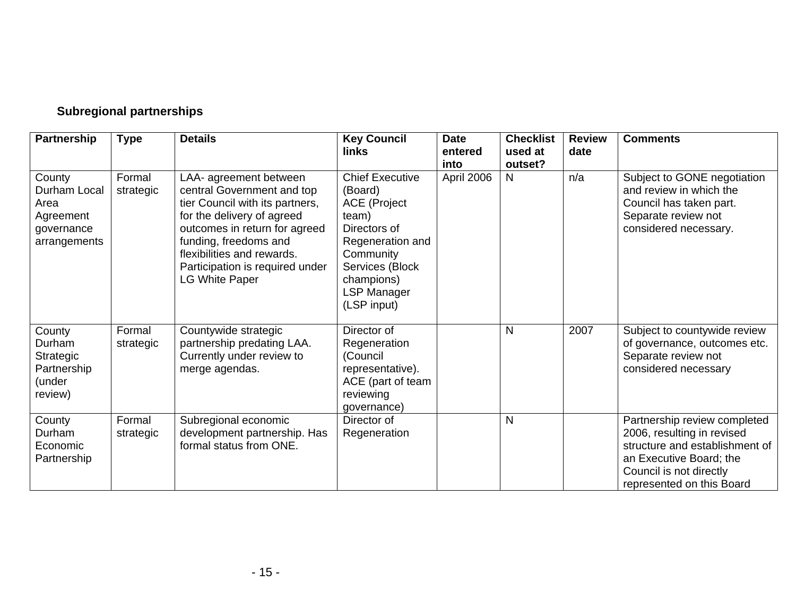# **Subregional partnerships**

| Partnership                                                               | <b>Type</b>         | <b>Details</b>                                                                                                                                                                                                                                                            | <b>Key Council</b><br>links                                                                                                                                                              | <b>Date</b><br>entered<br>into | <b>Checklist</b><br>used at<br>outset? | <b>Review</b><br>date | <b>Comments</b>                                                                                                                                                                 |
|---------------------------------------------------------------------------|---------------------|---------------------------------------------------------------------------------------------------------------------------------------------------------------------------------------------------------------------------------------------------------------------------|------------------------------------------------------------------------------------------------------------------------------------------------------------------------------------------|--------------------------------|----------------------------------------|-----------------------|---------------------------------------------------------------------------------------------------------------------------------------------------------------------------------|
| County<br>Durham Local<br>Area<br>Agreement<br>governance<br>arrangements | Formal<br>strategic | LAA- agreement between<br>central Government and top<br>tier Council with its partners,<br>for the delivery of agreed<br>outcomes in return for agreed<br>funding, freedoms and<br>flexibilities and rewards.<br>Participation is required under<br><b>LG White Paper</b> | <b>Chief Executive</b><br>(Board)<br><b>ACE</b> (Project<br>team)<br>Directors of<br>Regeneration and<br>Community<br>Services (Block<br>champions)<br><b>LSP Manager</b><br>(LSP input) | April 2006                     | N                                      | n/a                   | Subject to GONE negotiation<br>and review in which the<br>Council has taken part.<br>Separate review not<br>considered necessary.                                               |
| County<br>Durham<br>Strategic<br>Partnership<br>(under<br>review)         | Formal<br>strategic | Countywide strategic<br>partnership predating LAA.<br>Currently under review to<br>merge agendas.                                                                                                                                                                         | Director of<br>Regeneration<br>(Council<br>representative).<br>ACE (part of team<br>reviewing<br>governance)                                                                             |                                | N                                      | 2007                  | Subject to countywide review<br>of governance, outcomes etc.<br>Separate review not<br>considered necessary                                                                     |
| County<br>Durham<br>Economic<br>Partnership                               | Formal<br>strategic | Subregional economic<br>development partnership. Has<br>formal status from ONE.                                                                                                                                                                                           | Director of<br>Regeneration                                                                                                                                                              |                                | N                                      |                       | Partnership review completed<br>2006, resulting in revised<br>structure and establishment of<br>an Executive Board; the<br>Council is not directly<br>represented on this Board |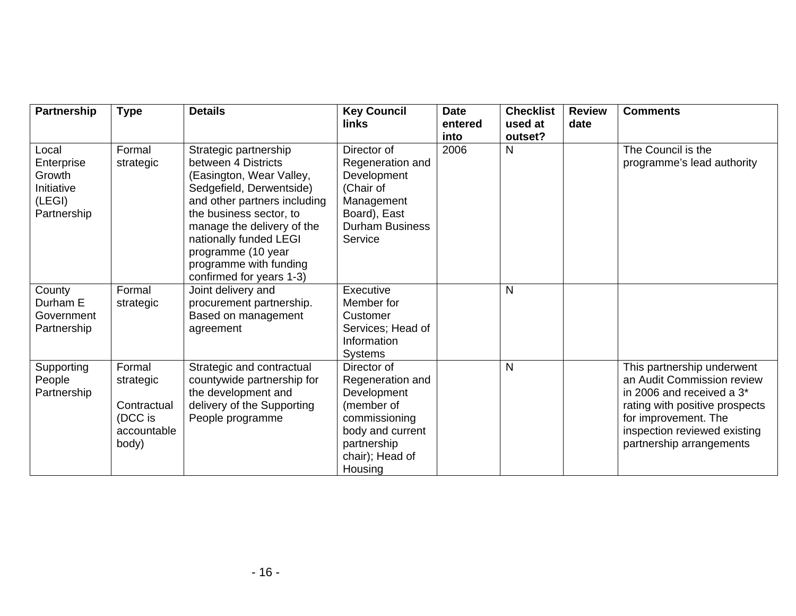| Partnership                                                          | <b>Type</b>                                                           | <b>Details</b>                                                                                                                                                                                                                                                                                      | <b>Key Council</b><br><b>links</b>                                                                                                             | <b>Date</b><br>entered | <b>Checklist</b><br>used at | <b>Review</b><br>date | <b>Comments</b>                                                                                                                                                                                                         |
|----------------------------------------------------------------------|-----------------------------------------------------------------------|-----------------------------------------------------------------------------------------------------------------------------------------------------------------------------------------------------------------------------------------------------------------------------------------------------|------------------------------------------------------------------------------------------------------------------------------------------------|------------------------|-----------------------------|-----------------------|-------------------------------------------------------------------------------------------------------------------------------------------------------------------------------------------------------------------------|
| Local<br>Enterprise<br>Growth<br>Initiative<br>(LEGI)<br>Partnership | Formal<br>strategic                                                   | Strategic partnership<br>between 4 Districts<br>(Easington, Wear Valley,<br>Sedgefield, Derwentside)<br>and other partners including<br>the business sector, to<br>manage the delivery of the<br>nationally funded LEGI<br>programme (10 year<br>programme with funding<br>confirmed for years 1-3) | Director of<br>Regeneration and<br>Development<br>(Chair of<br>Management<br>Board), East<br><b>Durham Business</b><br>Service                 | into<br>2006           | outset?<br>N                |                       | The Council is the<br>programme's lead authority                                                                                                                                                                        |
| County<br>Durham E<br>Government<br>Partnership                      | Formal<br>strategic                                                   | Joint delivery and<br>procurement partnership.<br>Based on management<br>agreement                                                                                                                                                                                                                  | Executive<br>Member for<br>Customer<br>Services; Head of<br>Information<br><b>Systems</b>                                                      |                        | $\mathsf{N}$                |                       |                                                                                                                                                                                                                         |
| Supporting<br>People<br>Partnership                                  | Formal<br>strategic<br>Contractual<br>(DCC is<br>accountable<br>body) | Strategic and contractual<br>countywide partnership for<br>the development and<br>delivery of the Supporting<br>People programme                                                                                                                                                                    | Director of<br>Regeneration and<br>Development<br>(member of<br>commissioning<br>body and current<br>partnership<br>chair); Head of<br>Housing |                        | N                           |                       | This partnership underwent<br>an Audit Commission review<br>in 2006 and received a 3 <sup>*</sup><br>rating with positive prospects<br>for improvement. The<br>inspection reviewed existing<br>partnership arrangements |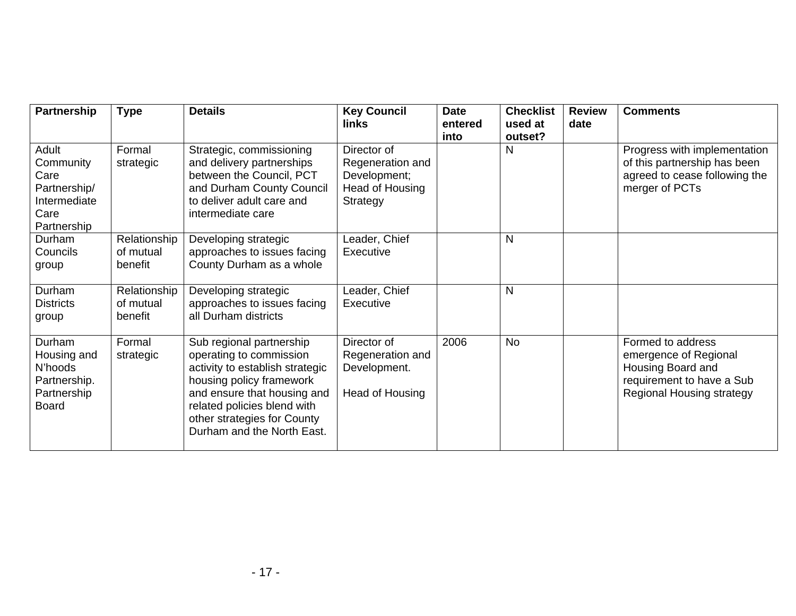| Partnership                                                                       | <b>Type</b>                          | <b>Details</b>                                                                                                                                                                                                                                | <b>Key Council</b><br>links                                                    | <b>Date</b><br>entered<br>into | <b>Checklist</b><br>used at<br>outset? | <b>Review</b><br>date | <b>Comments</b>                                                                                                                  |
|-----------------------------------------------------------------------------------|--------------------------------------|-----------------------------------------------------------------------------------------------------------------------------------------------------------------------------------------------------------------------------------------------|--------------------------------------------------------------------------------|--------------------------------|----------------------------------------|-----------------------|----------------------------------------------------------------------------------------------------------------------------------|
| Adult<br>Community<br>Care<br>Partnership/<br>Intermediate<br>Care<br>Partnership | Formal<br>strategic                  | Strategic, commissioning<br>and delivery partnerships<br>between the Council, PCT<br>and Durham County Council<br>to deliver adult care and<br>intermediate care                                                                              | Director of<br>Regeneration and<br>Development;<br>Head of Housing<br>Strategy |                                | N                                      |                       | Progress with implementation<br>of this partnership has been<br>agreed to cease following the<br>merger of PCTs                  |
| Durham<br>Councils<br>group                                                       | Relationship<br>of mutual<br>benefit | Developing strategic<br>approaches to issues facing<br>County Durham as a whole                                                                                                                                                               | Leader, Chief<br>Executive                                                     |                                | $\mathsf{N}$                           |                       |                                                                                                                                  |
| Durham<br><b>Districts</b><br>group                                               | Relationship<br>of mutual<br>benefit | Developing strategic<br>approaches to issues facing<br>all Durham districts                                                                                                                                                                   | Leader, Chief<br>Executive                                                     |                                | $\mathsf{N}$                           |                       |                                                                                                                                  |
| Durham<br>Housing and<br>N'hoods<br>Partnership.<br>Partnership<br><b>Board</b>   | Formal<br>strategic                  | Sub regional partnership<br>operating to commission<br>activity to establish strategic<br>housing policy framework<br>and ensure that housing and<br>related policies blend with<br>other strategies for County<br>Durham and the North East. | Director of<br>Regeneration and<br>Development.<br>Head of Housing             | 2006                           | No                                     |                       | Formed to address<br>emergence of Regional<br>Housing Board and<br>requirement to have a Sub<br><b>Regional Housing strategy</b> |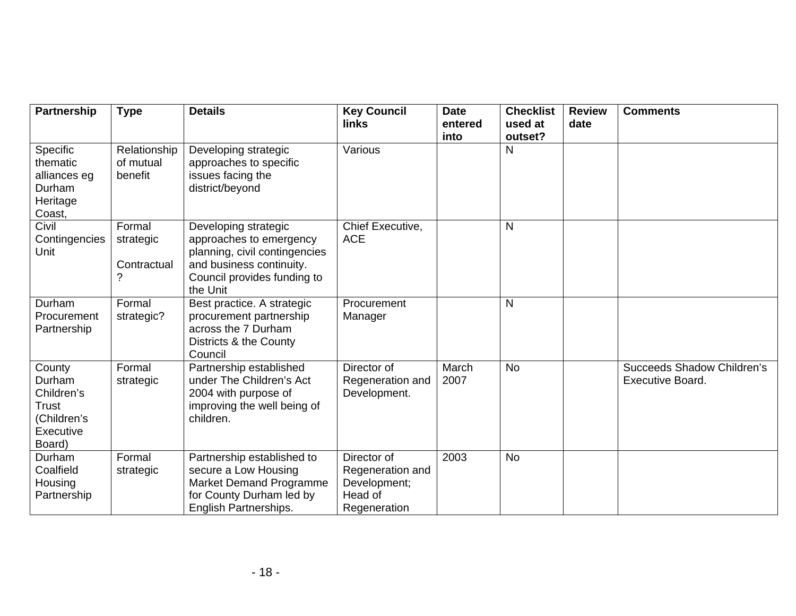| <b>Partnership</b>                                                            | <b>Type</b>                             | <b>Details</b>                                                                                                                                          | <b>Key Council</b><br>links                                                | <b>Date</b><br>entered<br>into | <b>Checklist</b><br>used at<br>outset? | <b>Review</b><br>date | <b>Comments</b>                                       |
|-------------------------------------------------------------------------------|-----------------------------------------|---------------------------------------------------------------------------------------------------------------------------------------------------------|----------------------------------------------------------------------------|--------------------------------|----------------------------------------|-----------------------|-------------------------------------------------------|
| Specific<br>thematic<br>alliances eg<br>Durham<br>Heritage<br>Coast,          | Relationship<br>of mutual<br>benefit    | Developing strategic<br>approaches to specific<br>issues facing the<br>district/beyond                                                                  | Various                                                                    |                                | N                                      |                       |                                                       |
| Civil<br>Contingencies<br>Unit                                                | Formal<br>strategic<br>Contractual<br>? | Developing strategic<br>approaches to emergency<br>planning, civil contingencies<br>and business continuity.<br>Council provides funding to<br>the Unit | Chief Executive,<br><b>ACE</b>                                             |                                | N                                      |                       |                                                       |
| Durham<br>Procurement<br>Partnership                                          | Formal<br>strategic?                    | Best practice. A strategic<br>procurement partnership<br>across the 7 Durham<br>Districts & the County<br>Council                                       | Procurement<br>Manager                                                     |                                | $\mathsf{N}$                           |                       |                                                       |
| County<br>Durham<br>Children's<br>Trust<br>(Children's<br>Executive<br>Board) | Formal<br>strategic                     | Partnership established<br>under The Children's Act<br>2004 with purpose of<br>improving the well being of<br>children.                                 | Director of<br>Regeneration and<br>Development.                            | March<br>2007                  | <b>No</b>                              |                       | Succeeds Shadow Children's<br><b>Executive Board.</b> |
| Durham<br>Coalfield<br>Housing<br>Partnership                                 | Formal<br>strategic                     | Partnership established to<br>secure a Low Housing<br>Market Demand Programme<br>for County Durham led by<br>English Partnerships.                      | Director of<br>Regeneration and<br>Development;<br>Head of<br>Regeneration | 2003                           | <b>No</b>                              |                       |                                                       |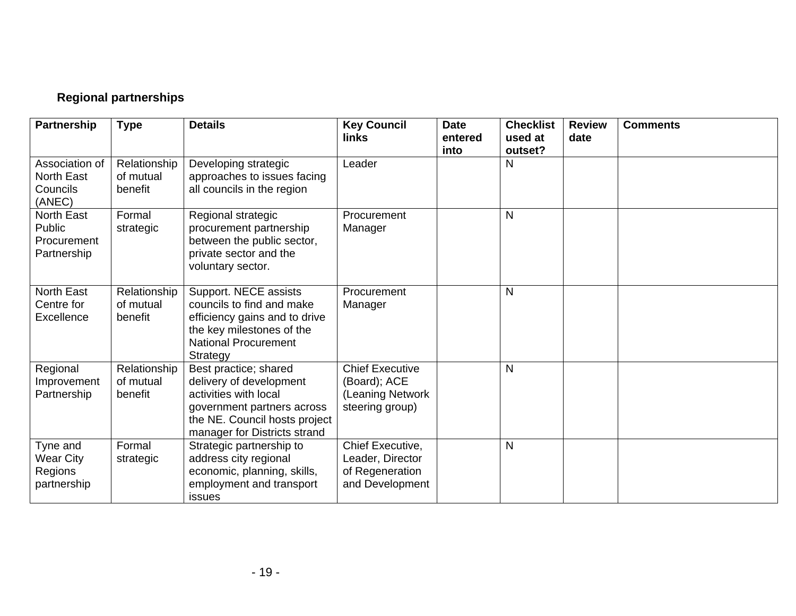# **Regional partnerships**

| Partnership                                               | <b>Type</b>                          | <b>Details</b>                                                                                                                                                           | <b>Key Council</b><br><b>links</b>                                            | <b>Date</b><br>entered<br>into | <b>Checklist</b><br>used at<br>outset? | <b>Review</b><br>date | <b>Comments</b> |
|-----------------------------------------------------------|--------------------------------------|--------------------------------------------------------------------------------------------------------------------------------------------------------------------------|-------------------------------------------------------------------------------|--------------------------------|----------------------------------------|-----------------------|-----------------|
| Association of<br><b>North East</b><br>Councils<br>(ANEC) | Relationship<br>of mutual<br>benefit | Developing strategic<br>approaches to issues facing<br>all councils in the region                                                                                        | Leader                                                                        |                                | N                                      |                       |                 |
| <b>North East</b><br>Public<br>Procurement<br>Partnership | Formal<br>strategic                  | Regional strategic<br>procurement partnership<br>between the public sector,<br>private sector and the<br>voluntary sector.                                               | Procurement<br>Manager                                                        |                                | $\mathsf{N}$                           |                       |                 |
| <b>North East</b><br>Centre for<br>Excellence             | Relationship<br>of mutual<br>benefit | Support. NECE assists<br>councils to find and make<br>efficiency gains and to drive<br>the key milestones of the<br><b>National Procurement</b><br>Strategy              | Procurement<br>Manager                                                        |                                | $\mathsf{N}$                           |                       |                 |
| Regional<br>Improvement<br>Partnership                    | Relationship<br>of mutual<br>benefit | Best practice; shared<br>delivery of development<br>activities with local<br>government partners across<br>the NE. Council hosts project<br>manager for Districts strand | <b>Chief Executive</b><br>(Board); ACE<br>(Leaning Network<br>steering group) |                                | $\mathsf{N}$                           |                       |                 |
| Tyne and<br><b>Wear City</b><br>Regions<br>partnership    | Formal<br>strategic                  | Strategic partnership to<br>address city regional<br>economic, planning, skills,<br>employment and transport<br>issues                                                   | Chief Executive,<br>Leader, Director<br>of Regeneration<br>and Development    |                                | $\mathsf{N}$                           |                       |                 |